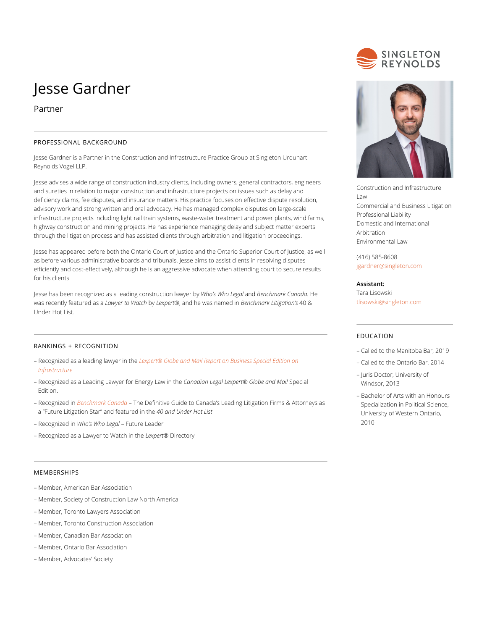# Jesse Gardner

## Partner

## PROFESSIONAL BACKGROUND

Jesse Gardner is a Partner in the Construction and Infrastructure Practice Group at Singleton Urquhart Reynolds Vogel LLP.

Jesse advises a wide range of construction industry clients, including owners, general contractors, engineers and sureties in relation to major construction and infrastructure projects on issues such as delay and deficiency claims, fee disputes, and insurance matters. His practice focuses on effective dispute resolution, advisory work and strong written and oral advocacy. He has managed complex disputes on large-scale infrastructure projects including light rail train systems, waste-water treatment and power plants, wind farms, highway construction and mining projects. He has experience managing delay and subject matter experts through the litigation process and has assisted clients through arbitration and litigation proceedings.

Jesse has appeared before both the Ontario Court of Justice and the Ontario Superior Court of Justice, as well as before various administrative boards and tribunals. Jesse aims to assist clients in resolving disputes efficiently and cost-effectively, although he is an aggressive advocate when attending court to secure results for his clients.

Jesse has been recognized as a leading construction lawyer by *Who's Who Legal* and *Benchmark Canada.* He was recently featured as a *Lawyer to Watch* by *Lexpert*®, and he was named in *Benchmark Litigation's* 40 & Under Hot List.

## RANKINGS + RECOGNITION

- Recognized as a leading lawyer in the *[Lexpert® Globe and Mail Report on Business Special Edition on](http://digital.carswellmedia.com/i/1028678-special-edition-on-infrastructure-2018) [Infrastructure](http://digital.carswellmedia.com/i/1028678-special-edition-on-infrastructure-2018)*
- Recognized as a Leading Lawyer for Energy Law in the *Canadian Legal Lexpert® Globe and Mail* Special Edition.
- Recognized in *[Benchmark Canada](https://benchmarklitigation.com/Lawyer/Jesse-Gardner/Profile/89998#profile)* The Definitive Guide to Canada's Leading Litigation Firms & Attorneys as a "Future Litigation Star" and featured in the *40 and Under Hot List*
- Recognized in *Who's Who Legal* Future Leader
- Recognized as a Lawyer to Watch in the *Lexpert*® Directory

#### MEMBERSHIPS

- Member, American Bar Association
- Member, Society of Construction Law North America
- Member, Toronto Lawyers Association
- Member, Toronto Construction Association
- Member, Canadian Bar Association
- Member, Ontario Bar Association
- Member, Advocates' Society





Construction and Infrastructure Law Commercial and Business Litigation Professional Liability Domestic and International Arbitration Environmental Law

(416) 585-8608 [jgardner@singleton.com](mailto:jgardner@singleton.com)

#### **Assistant:**

Tara Lisowski [tlisowski@singleton.com](mailto:tlisowski@singleton.com)

## EDUCATION

- Called to the Manitoba Bar, 2019
- Called to the Ontario Bar, 2014
- Juris Doctor, University of Windsor, 2013
- Bachelor of Arts with an Honours Specialization in Political Science, University of Western Ontario, 2010